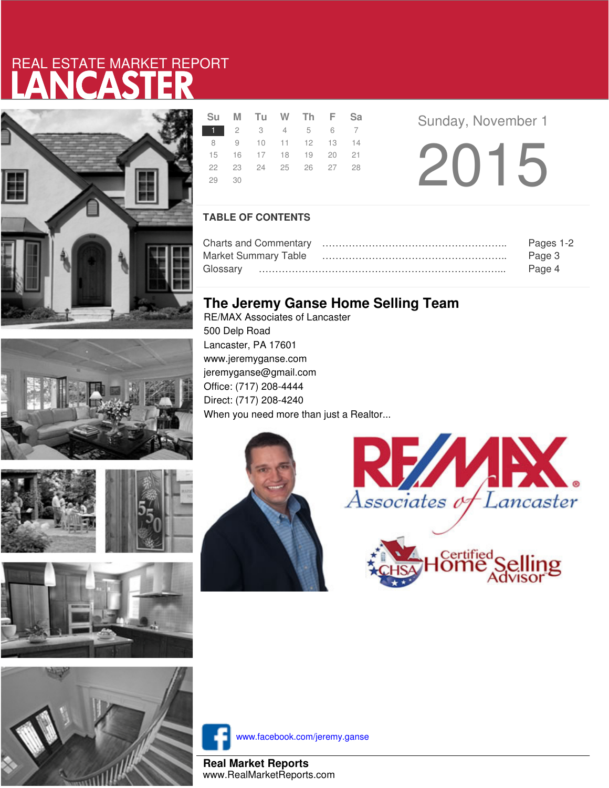# LANCASTER REAL ESTATE MARKET REPORT



|               | Su M Tu W Th F Sa    |  |  |
|---------------|----------------------|--|--|
| 1 2 3 4 5 6 7 |                      |  |  |
|               | 8 9 10 11 12 13 14   |  |  |
|               | 15 16 17 18 19 20 21 |  |  |
|               | 22 23 24 25 26 27 28 |  |  |
| 29 30         |                      |  |  |

**R Example 3** Sunday, November 1

20 15

### **TABLE OF CONTENTS**

|                             | Pages 1-2 |
|-----------------------------|-----------|
| <b>Market Summary Table</b> | Page 3    |
|                             | Page 4    |

## **The Jeremy Ganse Home Selling Team**

RE/MAX Associates of Lancaster 500 Delp Road Lancaster, PA 17601 www.jeremyganse.com jeremyganse@gmail.com Office: (717) 208-4444 Direct: (717) 208-4240 When you need more than just a Realtor...









www.facebook.com/jeremy.ganse

**Real Market Reports** www.RealMarketReports.com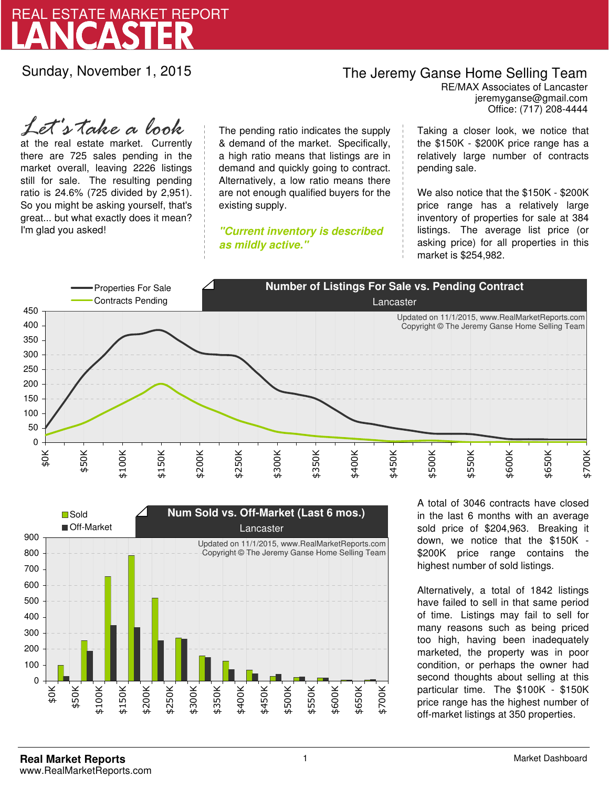

Sunday, November 1, 2015

## The Jeremy Ganse Home Selling Team

jeremyganse@gmail.com RE/MAX Associates of Lancaster Office: (717) 208-4444

at the real estate market. Currently there are 725 sales pending in the market overall, leaving 2226 listings still for sale. The resulting pending ratio is 24.6% (725 divided by 2,951). So you might be asking yourself, that's great... but what exactly does it mean? I'm glad you asked! *Let's take a look*

The pending ratio indicates the supply & demand of the market. Specifically, a high ratio means that listings are in demand and quickly going to contract. Alternatively, a low ratio means there are not enough qualified buyers for the existing supply.

**"Current inventory is described as mildly active."**

Taking a closer look, we notice that the \$150K - \$200K price range has a relatively large number of contracts pending sale.

We also notice that the \$150K - \$200K price range has a relatively large inventory of properties for sale at 384 listings. The average list price (or asking price) for all properties in this market is \$254,982.





A total of 3046 contracts have closed in the last 6 months with an average sold price of \$204,963. Breaking it down, we notice that the \$150K - \$200K price range contains the highest number of sold listings.

Alternatively, a total of 1842 listings have failed to sell in that same period of time. Listings may fail to sell for many reasons such as being priced too high, having been inadequately marketed, the property was in poor condition, or perhaps the owner had second thoughts about selling at this particular time. The \$100K - \$150K price range has the highest number of off-market listings at 350 properties.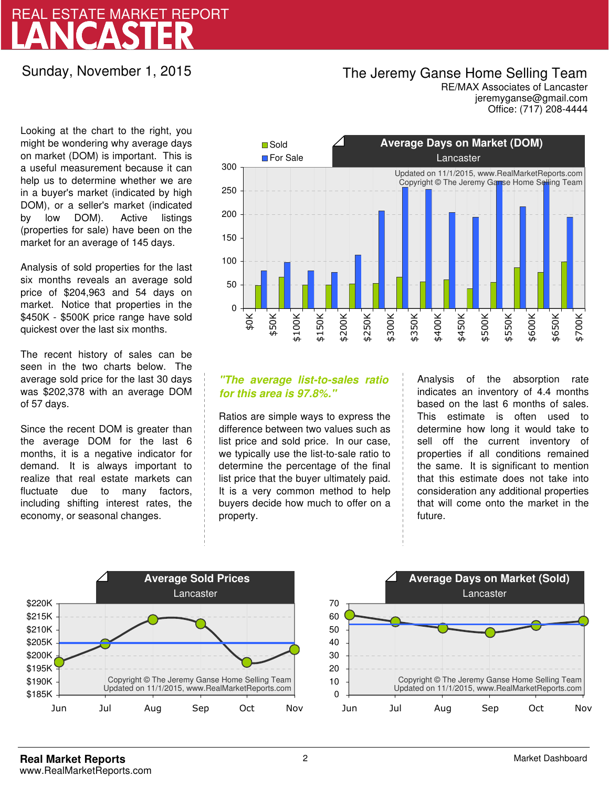# LANCASTER REAL ESTATE MARKET REPORT

Sunday, November 1, 2015

## The Jeremy Ganse Home Selling Team

jeremyganse@gmail.com RE/MAX Associates of Lancaster Office: (717) 208-4444

Looking at the chart to the right, you might be wondering why average days on market (DOM) is important. This is a useful measurement because it can help us to determine whether we are in a buyer's market (indicated by high DOM), or a seller's market (indicated by low DOM). Active listings (properties for sale) have been on the market for an average of 145 days.

Analysis of sold properties for the last six months reveals an average sold price of \$204,963 and 54 days on market. Notice that properties in the \$450K - \$500K price range have sold quickest over the last six months.

The recent history of sales can be seen in the two charts below. The average sold price for the last 30 days was \$202,378 with an average DOM of 57 days.

Since the recent DOM is greater than the average DOM for the last 6 months, it is a negative indicator for demand. It is always important to realize that real estate markets can fluctuate due to many factors, including shifting interest rates, the economy, or seasonal changes.



### **"The average list-to-sales ratio for this area is 97.8%."**

Ratios are simple ways to express the difference between two values such as list price and sold price. In our case, we typically use the list-to-sale ratio to determine the percentage of the final list price that the buyer ultimately paid. It is a very common method to help buyers decide how much to offer on a property.

Analysis of the absorption rate indicates an inventory of 4.4 months based on the last 6 months of sales. This estimate is often used to determine how long it would take to sell off the current inventory of properties if all conditions remained the same. It is significant to mention that this estimate does not take into consideration any additional properties that will come onto the market in the future.



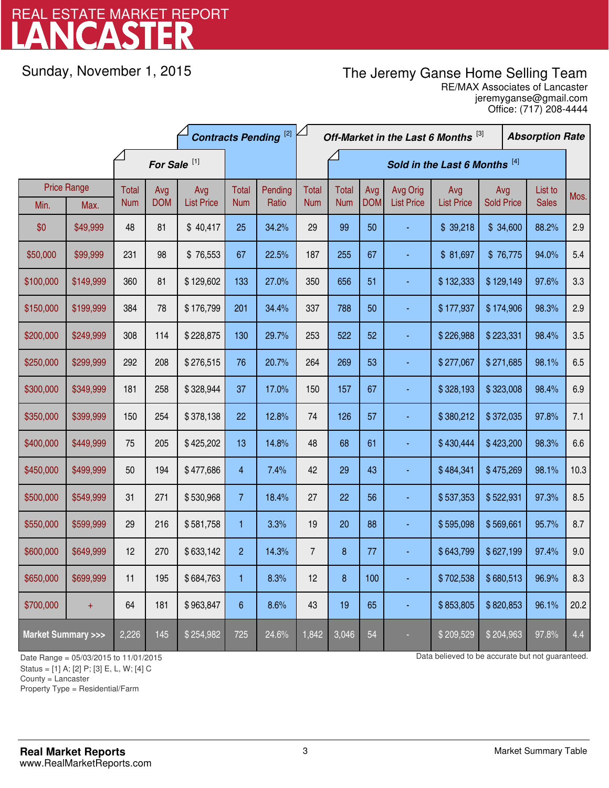# LANCASTER REAL ESTATE MARKET REPORT

Sunday, November 1, 2015

# The Jeremy Ganse Home Selling Team

jeremyganse@gmail.com RE/MAX Associates of Lancaster Office: (717) 208-4444

|                                    |                    | <b>Contracts Pending [2]</b> |            |                   |                 |         | Off-Market in the Last 6 Months [3] |              |            |                   |                   | <b>Absorption Rate</b> |  |              |      |
|------------------------------------|--------------------|------------------------------|------------|-------------------|-----------------|---------|-------------------------------------|--------------|------------|-------------------|-------------------|------------------------|--|--------------|------|
|                                    |                    | For Sale <sup>[1]</sup>      |            |                   |                 |         | Sold in the Last 6 Months [4]       |              |            |                   |                   |                        |  |              |      |
|                                    | <b>Price Range</b> | Total                        | Avg        | Avg               | Total           | Pending | <b>Total</b>                        | <b>Total</b> | Avg        | Avg Orig          | Avg               | Avg                    |  | List to      | Mos. |
| Min.                               | Max.               | <b>Num</b>                   | <b>DOM</b> | <b>List Price</b> | <b>Num</b>      | Ratio   | <b>Num</b>                          | <b>Num</b>   | <b>DOM</b> | <b>List Price</b> | <b>List Price</b> | <b>Sold Price</b>      |  | <b>Sales</b> |      |
| \$0                                | \$49,999           | 48                           | 81         | \$40,417          | 25              | 34.2%   | 29                                  | 99           | 50         |                   | \$39,218          | \$34,600               |  | 88.2%        | 2.9  |
| \$50,000                           | \$99,999           | 231                          | 98         | \$76,553          | 67              | 22.5%   | 187                                 | 255          | 67         |                   | \$81,697          | \$76,775               |  | 94.0%        | 5.4  |
| \$100,000                          | \$149,999          | 360                          | 81         | \$129,602         | 133             | 27.0%   | 350                                 | 656          | 51         |                   | \$132,333         | \$129,149              |  | 97.6%        | 3.3  |
| \$150,000                          | \$199,999          | 384                          | 78         | \$176,799         | 201             | 34.4%   | 337                                 | 788          | 50         |                   | \$177,937         | \$174,906              |  | 98.3%        | 2.9  |
| \$200,000                          | \$249,999          | 308                          | 114        | \$228,875         | 130             | 29.7%   | 253                                 | 522          | 52         |                   | \$226,988         | \$223,331              |  | 98.4%        | 3.5  |
| \$250,000                          | \$299,999          | 292                          | 208        | \$276,515         | 76              | 20.7%   | 264                                 | 269          | 53         |                   | \$277,067         | \$271,685              |  | 98.1%        | 6.5  |
| \$300,000                          | \$349,999          | 181                          | 258        | \$328,944         | 37              | 17.0%   | 150                                 | 157          | 67         |                   | \$328,193         | \$323,008              |  | 98.4%        | 6.9  |
| \$350,000                          | \$399,999          | 150                          | 254        | \$378,138         | 22              | 12.8%   | 74                                  | 126          | 57         |                   | \$380,212         | \$372,035              |  | 97.8%        | 7.1  |
| \$400,000                          | \$449,999          | 75                           | 205        | \$425,202         | 13              | 14.8%   | 48                                  | 68           | 61         |                   | \$430,444         | \$423,200              |  | 98.3%        | 6.6  |
| \$450,000                          | \$499,999          | 50                           | 194        | \$477,686         | 4               | 7.4%    | 42                                  | 29           | 43         |                   | \$484,341         | \$475,269              |  | 98.1%        | 10.3 |
| \$500,000                          | \$549,999          | 31                           | 271        | \$530,968         | $7\overline{ }$ | 18.4%   | 27                                  | 22           | 56         |                   | \$537,353         | \$522,931              |  | 97.3%        | 8.5  |
| \$550,000                          | \$599,999          | 29                           | 216        | \$581,758         | 1               | 3.3%    | 19                                  | 20           | 88         |                   | \$595,098         | \$569,661              |  | 95.7%        | 8.7  |
| \$600,000                          | \$649,999          | 12                           | 270        | \$633,142         | $\overline{c}$  | 14.3%   | $\overline{7}$                      | 8            | 77         |                   | \$643,799         | \$627,199              |  | 97.4%        | 9.0  |
| \$650,000                          | \$699,999          | 11                           | 195        | \$684,763         | 1               | 8.3%    | 12                                  | 8            | 100        |                   | \$702,538         | \$680,513              |  | 96.9%        | 8.3  |
| \$700,000                          | $+$                | 64                           | 181        | \$963,847         | 6               | 8.6%    | 43                                  | 19           | 65         |                   | \$853,805         | \$820,853              |  | 96.1%        | 20.2 |
| <b>Market Summary &gt;&gt;&gt;</b> |                    | 2,226                        | 145        | \$254,982         | 725             | 24.6%   | 1,842                               | 3,046        | 54         |                   | \$209,529         | \$204,963              |  | 97.8%        | 4.4  |

Status = [1] A; [2] P; [3] E, L, W; [4] C

County = Lancaster

-

Property Type = Residential/Farm

Date Range = 05/03/2015 to 11/01/2015 10 11/01/2015